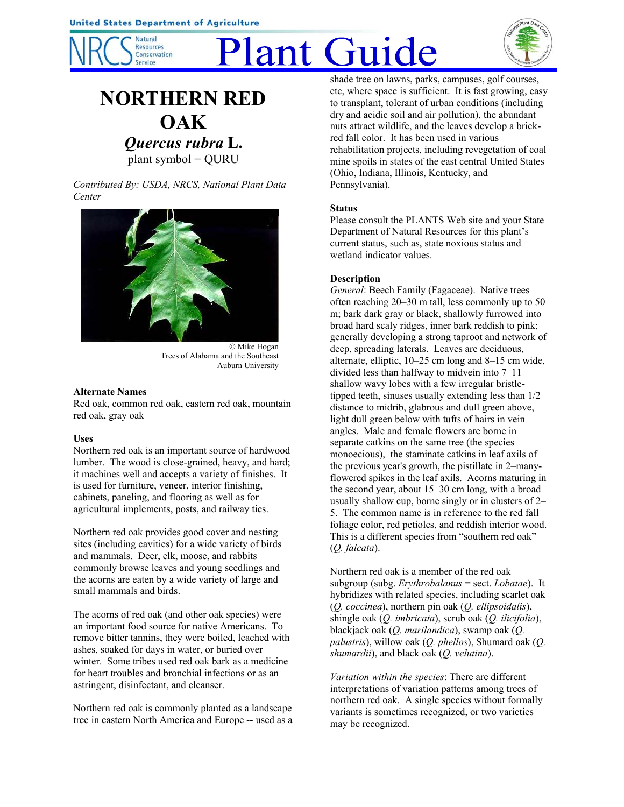

# Plant Guide



# **NORTHERN RED OAK**

*Quercus rubra* **L.** plant symbol = QURU

*Contributed By: USDA, NRCS, National Plant Data Center*



© Mike Hogan Trees of Alabama and the Southeast Auburn University

## **Alternate Names**

Red oak, common red oak, eastern red oak, mountain red oak, gray oak

# **Uses**

Northern red oak is an important source of hardwood lumber. The wood is close-grained, heavy, and hard; it machines well and accepts a variety of finishes. It is used for furniture, veneer, interior finishing, cabinets, paneling, and flooring as well as for agricultural implements, posts, and railway ties.

Northern red oak provides good cover and nesting sites (including cavities) for a wide variety of birds and mammals. Deer, elk, moose, and rabbits commonly browse leaves and young seedlings and the acorns are eaten by a wide variety of large and small mammals and birds.

The acorns of red oak (and other oak species) were an important food source for native Americans. To remove bitter tannins, they were boiled, leached with ashes, soaked for days in water, or buried over winter. Some tribes used red oak bark as a medicine for heart troubles and bronchial infections or as an astringent, disinfectant, and cleanser.

Northern red oak is commonly planted as a landscape tree in eastern North America and Europe -- used as a shade tree on lawns, parks, campuses, golf courses, etc, where space is sufficient. It is fast growing, easy to transplant, tolerant of urban conditions (including dry and acidic soil and air pollution), the abundant nuts attract wildlife, and the leaves develop a brickred fall color. It has been used in various rehabilitation projects, including revegetation of coal mine spoils in states of the east central United States (Ohio, Indiana, Illinois, Kentucky, and Pennsylvania).

# **Status**

Please consult the PLANTS Web site and your State Department of Natural Resources for this plant's current status, such as, state noxious status and wetland indicator values.

# **Description**

*General*: Beech Family (Fagaceae). Native trees often reaching 20–30 m tall, less commonly up to 50 m; bark dark gray or black, shallowly furrowed into broad hard scaly ridges, inner bark reddish to pink; generally developing a strong taproot and network of deep, spreading laterals. Leaves are deciduous, alternate, elliptic, 10–25 cm long and 8–15 cm wide, divided less than halfway to midvein into 7–11 shallow wavy lobes with a few irregular bristletipped teeth, sinuses usually extending less than 1/2 distance to midrib, glabrous and dull green above, light dull green below with tufts of hairs in vein angles. Male and female flowers are borne in separate catkins on the same tree (the species monoecious), the staminate catkins in leaf axils of the previous year's growth, the pistillate in 2–manyflowered spikes in the leaf axils. Acorns maturing in the second year, about 15–30 cm long, with a broad usually shallow cup, borne singly or in clusters of 2– 5. The common name is in reference to the red fall foliage color, red petioles, and reddish interior wood. This is a different species from "southern red oak" (*Q. falcata*).

Northern red oak is a member of the red oak subgroup (subg. *Erythrobalanus* = sect. *Lobatae*). It hybridizes with related species, including scarlet oak (*Q. coccinea*), northern pin oak (*Q. ellipsoidalis*), shingle oak (*Q. imbricata*), scrub oak (*Q. ilicifolia*), blackjack oak (*Q. marilandica*), swamp oak (*Q. palustris*), willow oak (*Q. phellos*), Shumard oak (*Q. shumardii*), and black oak (*Q. velutina*).

*Variation within the species*: There are different interpretations of variation patterns among trees of northern red oak. A single species without formally variants is sometimes recognized, or two varieties may be recognized.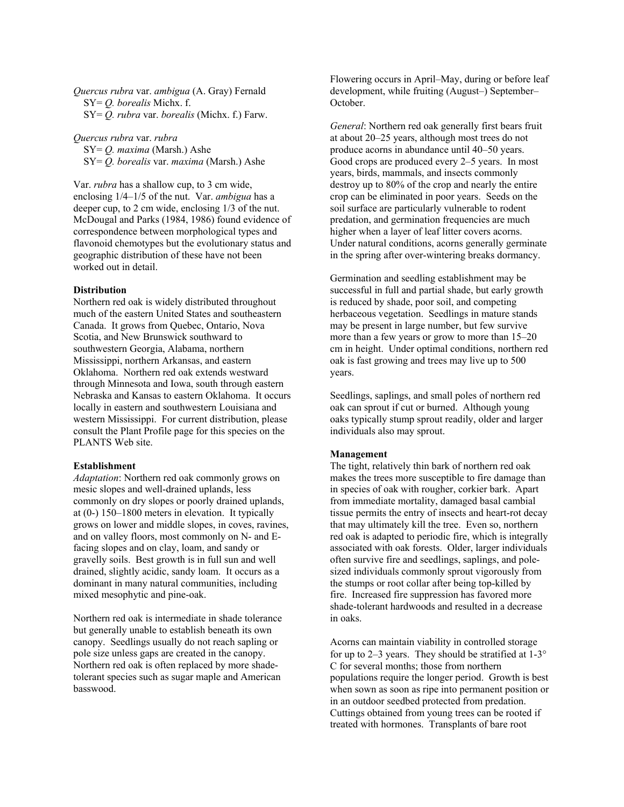*Quercus rubra* var. *ambigua* (A. Gray) Fernald SY= *Q. borealis* Michx. f. SY= *Q. rubra* var. *borealis* (Michx. f.) Farw.

*Quercus rubra* var. *rubra*

 SY= *Q. maxima* (Marsh.) Ashe SY= *Q. borealis* var. *maxima* (Marsh.) Ashe

Var. *rubra* has a shallow cup, to 3 cm wide, enclosing 1/4–1/5 of the nut. Var. *ambigua* has a deeper cup, to 2 cm wide, enclosing 1/3 of the nut. McDougal and Parks (1984, 1986) found evidence of correspondence between morphological types and flavonoid chemotypes but the evolutionary status and geographic distribution of these have not been worked out in detail.

#### **Distribution**

Northern red oak is widely distributed throughout much of the eastern United States and southeastern Canada. It grows from Quebec, Ontario, Nova Scotia, and New Brunswick southward to southwestern Georgia, Alabama, northern Mississippi, northern Arkansas, and eastern Oklahoma. Northern red oak extends westward through Minnesota and Iowa, south through eastern Nebraska and Kansas to eastern Oklahoma. It occurs locally in eastern and southwestern Louisiana and western Mississippi. For current distribution, please consult the Plant Profile page for this species on the PLANTS Web site.

#### **Establishment**

*Adaptation*: Northern red oak commonly grows on mesic slopes and well-drained uplands, less commonly on dry slopes or poorly drained uplands, at (0-) 150–1800 meters in elevation. It typically grows on lower and middle slopes, in coves, ravines, and on valley floors, most commonly on N- and Efacing slopes and on clay, loam, and sandy or gravelly soils. Best growth is in full sun and well drained, slightly acidic, sandy loam. It occurs as a dominant in many natural communities, including mixed mesophytic and pine-oak.

Northern red oak is intermediate in shade tolerance but generally unable to establish beneath its own canopy. Seedlings usually do not reach sapling or pole size unless gaps are created in the canopy. Northern red oak is often replaced by more shadetolerant species such as sugar maple and American basswood.

Flowering occurs in April–May, during or before leaf development, while fruiting (August–) September– October.

*General*: Northern red oak generally first bears fruit at about 20–25 years, although most trees do not produce acorns in abundance until 40–50 years. Good crops are produced every 2–5 years. In most years, birds, mammals, and insects commonly destroy up to 80% of the crop and nearly the entire crop can be eliminated in poor years. Seeds on the soil surface are particularly vulnerable to rodent predation, and germination frequencies are much higher when a layer of leaf litter covers acorns. Under natural conditions, acorns generally germinate in the spring after over-wintering breaks dormancy.

Germination and seedling establishment may be successful in full and partial shade, but early growth is reduced by shade, poor soil, and competing herbaceous vegetation. Seedlings in mature stands may be present in large number, but few survive more than a few years or grow to more than 15–20 cm in height. Under optimal conditions, northern red oak is fast growing and trees may live up to 500 years.

Seedlings, saplings, and small poles of northern red oak can sprout if cut or burned. Although young oaks typically stump sprout readily, older and larger individuals also may sprout.

#### **Management**

The tight, relatively thin bark of northern red oak makes the trees more susceptible to fire damage than in species of oak with rougher, corkier bark. Apart from immediate mortality, damaged basal cambial tissue permits the entry of insects and heart-rot decay that may ultimately kill the tree. Even so, northern red oak is adapted to periodic fire, which is integrally associated with oak forests. Older, larger individuals often survive fire and seedlings, saplings, and polesized individuals commonly sprout vigorously from the stumps or root collar after being top-killed by fire. Increased fire suppression has favored more shade-tolerant hardwoods and resulted in a decrease in oaks.

Acorns can maintain viability in controlled storage for up to 2–3 years. They should be stratified at 1-3° C for several months; those from northern populations require the longer period. Growth is best when sown as soon as ripe into permanent position or in an outdoor seedbed protected from predation. Cuttings obtained from young trees can be rooted if treated with hormones. Transplants of bare root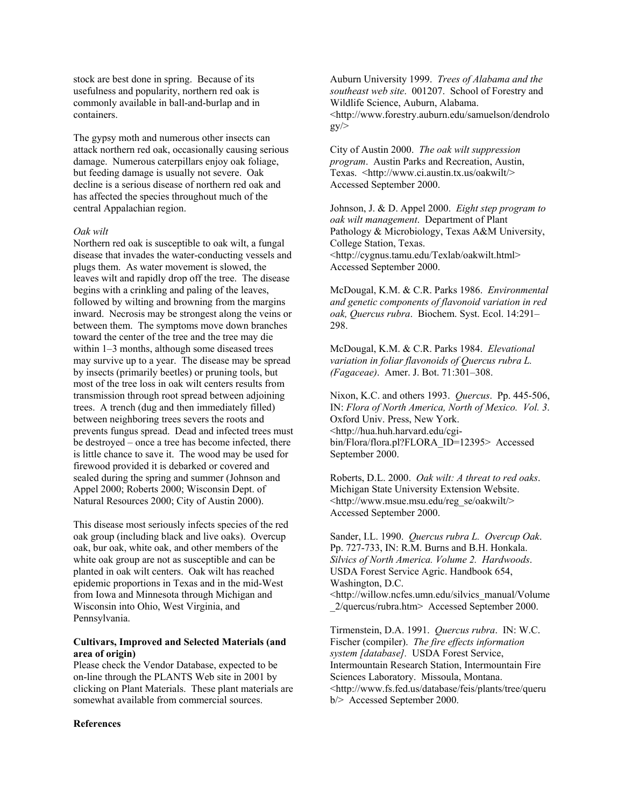stock are best done in spring. Because of its usefulness and popularity, northern red oak is commonly available in ball-and-burlap and in containers.

The gypsy moth and numerous other insects can attack northern red oak, occasionally causing serious damage. Numerous caterpillars enjoy oak foliage, but feeding damage is usually not severe. Oak decline is a serious disease of northern red oak and has affected the species throughout much of the central Appalachian region.

#### *Oak wilt*

Northern red oak is susceptible to oak wilt, a fungal disease that invades the water-conducting vessels and plugs them. As water movement is slowed, the leaves wilt and rapidly drop off the tree. The disease begins with a crinkling and paling of the leaves, followed by wilting and browning from the margins inward. Necrosis may be strongest along the veins or between them. The symptoms move down branches toward the center of the tree and the tree may die within 1–3 months, although some diseased trees may survive up to a year. The disease may be spread by insects (primarily beetles) or pruning tools, but most of the tree loss in oak wilt centers results from transmission through root spread between adjoining trees. A trench (dug and then immediately filled) between neighboring trees severs the roots and prevents fungus spread. Dead and infected trees must be destroyed – once a tree has become infected, there is little chance to save it. The wood may be used for firewood provided it is debarked or covered and sealed during the spring and summer (Johnson and Appel 2000; Roberts 2000; Wisconsin Dept. of Natural Resources 2000; City of Austin 2000).

This disease most seriously infects species of the red oak group (including black and live oaks). Overcup oak, bur oak, white oak, and other members of the white oak group are not as susceptible and can be planted in oak wilt centers. Oak wilt has reached epidemic proportions in Texas and in the mid-West from Iowa and Minnesota through Michigan and Wisconsin into Ohio, West Virginia, and Pennsylvania.

## **Cultivars, Improved and Selected Materials (and area of origin)**

Please check the Vendor Database, expected to be on-line through the PLANTS Web site in 2001 by clicking on Plant Materials. These plant materials are somewhat available from commercial sources.

#### **References**

Auburn University 1999. *Trees of Alabama and the southeast web site*. 001207. School of Forestry and Wildlife Science, Auburn, Alabama. <http://www.forestry.auburn.edu/samuelson/dendrolo  $gy \ge$ 

City of Austin 2000. *The oak wilt suppression program*. Austin Parks and Recreation, Austin, Texas. <http://www.ci.austin.tx.us/oakwilt/> Accessed September 2000.

Johnson, J. & D. Appel 2000. *Eight step program to oak wilt management*. Department of Plant Pathology & Microbiology, Texas A&M University, College Station, Texas. <http://cygnus.tamu.edu/Texlab/oakwilt.html> Accessed September 2000.

McDougal, K.M. & C.R. Parks 1986. *Environmental and genetic components of flavonoid variation in red oak, Quercus rubra*. Biochem. Syst. Ecol. 14:291– 298.

McDougal, K.M. & C.R. Parks 1984. *Elevational variation in foliar flavonoids of Quercus rubra L. (Fagaceae)*. Amer. J. Bot. 71:301–308.

Nixon, K.C. and others 1993. *Quercus*. Pp. 445-506, IN: *Flora of North America, North of Mexico. Vol. 3*. Oxford Univ. Press, New York. <http://hua.huh.harvard.edu/cgibin/Flora/flora.pl?FLORA\_ID=12395> Accessed September 2000.

Roberts, D.L. 2000. *Oak wilt: A threat to red oaks*. Michigan State University Extension Website. <http://www.msue.msu.edu/reg\_se/oakwilt/> Accessed September 2000.

Sander, I.L. 1990. *Quercus rubra L. Overcup Oak*. Pp. 727-733, IN: R.M. Burns and B.H. Honkala. *Silvics of North America. Volume 2. Hardwoods*. USDA Forest Service Agric. Handbook 654, Washington, D.C. <http://willow.ncfes.umn.edu/silvics\_manual/Volume

\_2/quercus/rubra.htm> Accessed September 2000.

Tirmenstein, D.A. 1991. *Quercus rubra*. IN: W.C. Fischer (compiler). *The fire effects information system [database].* USDA Forest Service, Intermountain Research Station, Intermountain Fire Sciences Laboratory. Missoula, Montana. <http://www.fs.fed.us/database/feis/plants/tree/queru b/> Accessed September 2000.